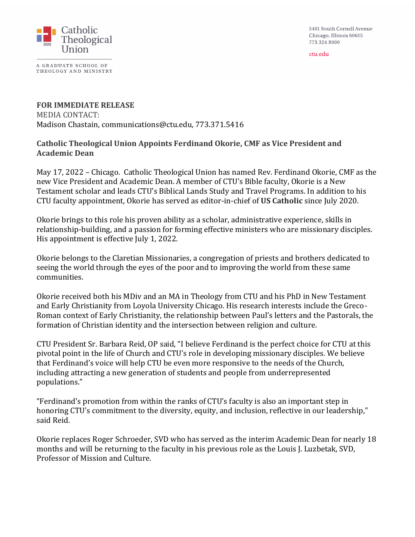5401 South Cornell Avenue Chicago, Illinois 60615 773.324.8000

ctu.edu



A GRADUATE SCHOOL OF THEOLOGY AND MINISTRY

## **FOR IMMEDIATE RELEASE** MEDIA CONTACT: Madison Chastain, communications@ctu.edu, 773.371.5416

## **Catholic Theological Union Appoints Ferdinand Okorie, CMF as Vice President and Academic Dean**

May 17, 2022 – Chicago. Catholic Theological Union has named Rev. Ferdinand Okorie, CMF as the new Vice President and Academic Dean. A member of CTU's Bible faculty, Okorie is a New Testament scholar and leads CTU's Biblical Lands Study and Travel Programs. In addition to his CTU faculty appointment, Okorie has served as editor-in-chief of **US Catholic** since July 2020.

Okorie brings to this role his proven ability as a scholar, administrative experience, skills in relationship-building, and a passion for forming effective ministers who are missionary disciples. His appointment is effective July 1, 2022.

Okorie belongs to the Claretian Missionaries, a congregation of priests and brothers dedicated to seeing the world through the eyes of the poor and to improving the world from these same communities.

Okorie received both his MDiv and an MA in Theology from CTU and his PhD in New Testament and Early Christianity from Loyola University Chicago. His research interests include the Greco-Roman context of Early Christianity, the relationship between Paul's letters and the Pastorals, the formation of Christian identity and the intersection between religion and culture.

CTU President Sr. Barbara Reid, OP said, "I believe Ferdinand is the perfect choice for CTU at this pivotal point in the life of Church and CTU's role in developing missionary disciples. We believe that Ferdinand's voice will help CTU be even more responsive to the needs of the Church, including attracting a new generation of students and people from underrepresented populations."

"Ferdinand's promotion from within the ranks of CTU's faculty is also an important step in honoring CTU's commitment to the diversity, equity, and inclusion, reflective in our leadership," said Reid.

Okorie replaces Roger Schroeder, SVD who has served as the interim Academic Dean for nearly 18 months and will be returning to the faculty in his previous role as the Louis J. Luzbetak, SVD, Professor of Mission and Culture.